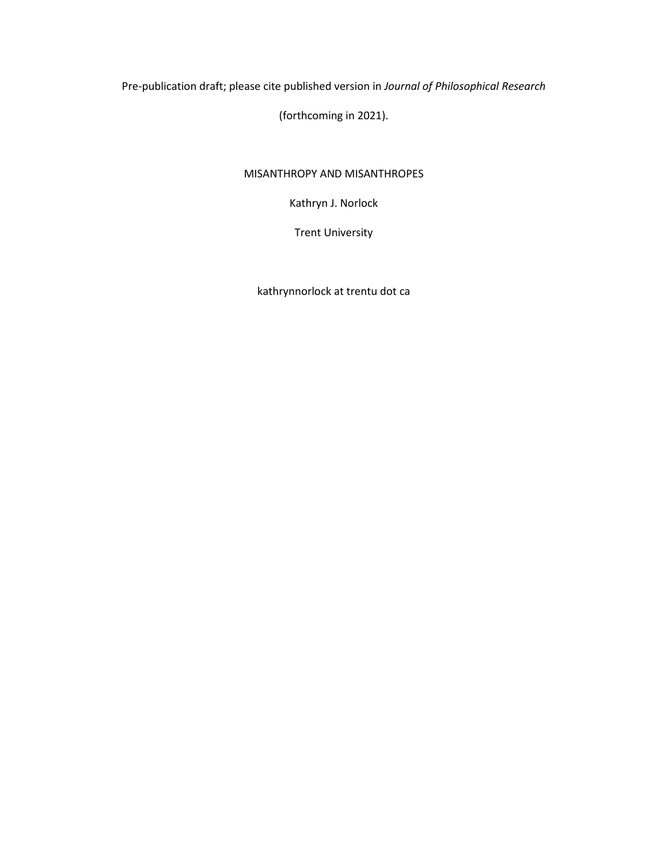Pre-publication draft; please cite published version in *Journal of Philosophical Research*

(forthcoming in 2021).

MISANTHROPY AND MISANTHROPES

Kathryn J. Norlock

Trent University

kathrynnorlock at trentu dot ca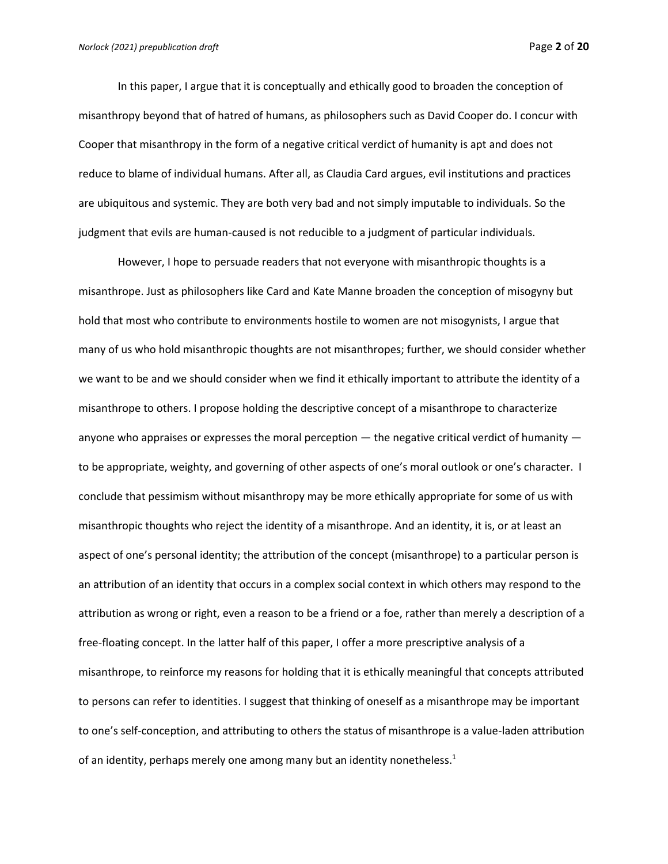In this paper, I argue that it is conceptually and ethically good to broaden the conception of misanthropy beyond that of hatred of humans, as philosophers such as David Cooper do. I concur with Cooper that misanthropy in the form of a negative critical verdict of humanity is apt and does not reduce to blame of individual humans. After all, as Claudia Card argues, evil institutions and practices are ubiquitous and systemic. They are both very bad and not simply imputable to individuals. So the judgment that evils are human-caused is not reducible to a judgment of particular individuals.

However, I hope to persuade readers that not everyone with misanthropic thoughts is a misanthrope. Just as philosophers like Card and Kate Manne broaden the conception of misogyny but hold that most who contribute to environments hostile to women are not misogynists, I argue that many of us who hold misanthropic thoughts are not misanthropes; further, we should consider whether we want to be and we should consider when we find it ethically important to attribute the identity of a misanthrope to others. I propose holding the descriptive concept of a misanthrope to characterize anyone who appraises or expresses the moral perception — the negative critical verdict of humanity to be appropriate, weighty, and governing of other aspects of one's moral outlook or one's character. I conclude that pessimism without misanthropy may be more ethically appropriate for some of us with misanthropic thoughts who reject the identity of a misanthrope. And an identity, it is, or at least an aspect of one's personal identity; the attribution of the concept (misanthrope) to a particular person is an attribution of an identity that occurs in a complex social context in which others may respond to the attribution as wrong or right, even a reason to be a friend or a foe, rather than merely a description of a free-floating concept. In the latter half of this paper, I offer a more prescriptive analysis of a misanthrope, to reinforce my reasons for holding that it is ethically meaningful that concepts attributed to persons can refer to identities. I suggest that thinking of oneself as a misanthrope may be important to one's self-conception, and attributing to others the status of misanthrope is a value-laden attribution of an identity, perhaps merely one among many but an identity nonetheless.<sup>1</sup>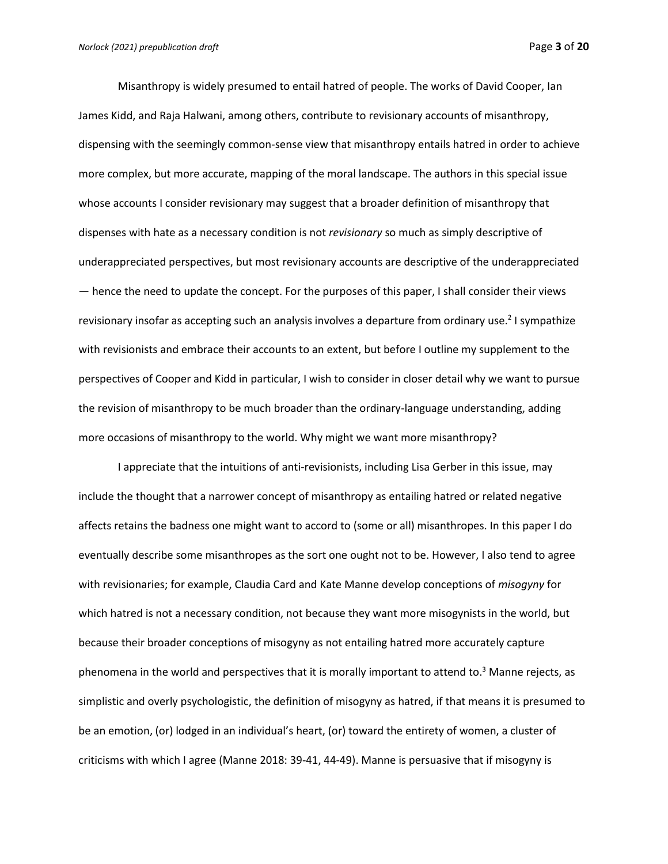Misanthropy is widely presumed to entail hatred of people. The works of David Cooper, Ian James Kidd, and Raja Halwani, among others, contribute to revisionary accounts of misanthropy, dispensing with the seemingly common-sense view that misanthropy entails hatred in order to achieve more complex, but more accurate, mapping of the moral landscape. The authors in this special issue whose accounts I consider revisionary may suggest that a broader definition of misanthropy that dispenses with hate as a necessary condition is not *revisionary* so much as simply descriptive of underappreciated perspectives, but most revisionary accounts are descriptive of the underappreciated — hence the need to update the concept. For the purposes of this paper, I shall consider their views revisionary insofar as accepting such an analysis involves a departure from ordinary use.<sup>2</sup> I sympathize with revisionists and embrace their accounts to an extent, but before I outline my supplement to the perspectives of Cooper and Kidd in particular, I wish to consider in closer detail why we want to pursue the revision of misanthropy to be much broader than the ordinary-language understanding, adding more occasions of misanthropy to the world. Why might we want more misanthropy?

I appreciate that the intuitions of anti-revisionists, including Lisa Gerber in this issue, may include the thought that a narrower concept of misanthropy as entailing hatred or related negative affects retains the badness one might want to accord to (some or all) misanthropes. In this paper I do eventually describe some misanthropes as the sort one ought not to be. However, I also tend to agree with revisionaries; for example, Claudia Card and Kate Manne develop conceptions of *misogyny* for which hatred is not a necessary condition, not because they want more misogynists in the world, but because their broader conceptions of misogyny as not entailing hatred more accurately capture phenomena in the world and perspectives that it is morally important to attend to. $3$  Manne rejects, as simplistic and overly psychologistic, the definition of misogyny as hatred, if that means it is presumed to be an emotion, (or) lodged in an individual's heart, (or) toward the entirety of women, a cluster of criticisms with which I agree (Manne 2018: 39-41, 44-49). Manne is persuasive that if misogyny is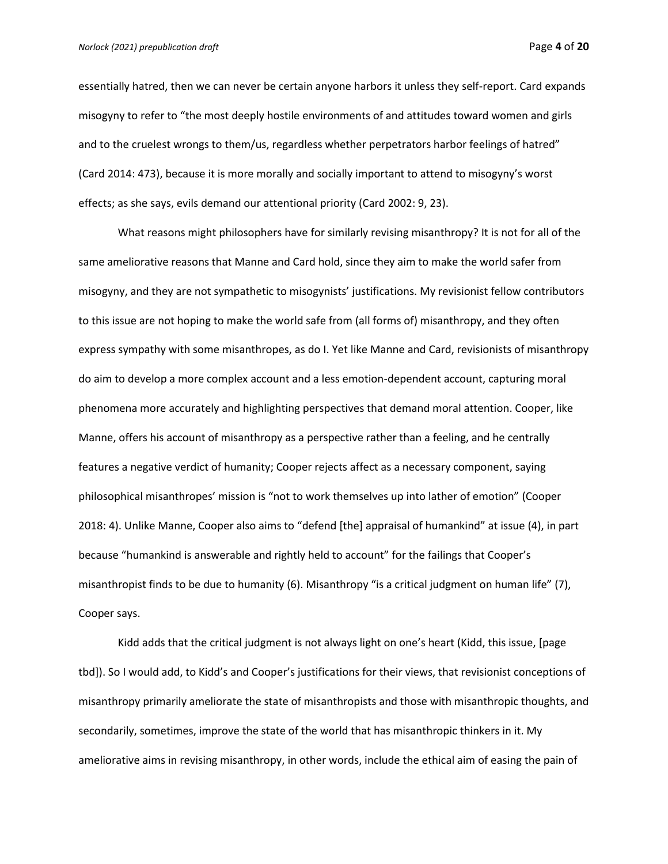essentially hatred, then we can never be certain anyone harbors it unless they self-report. Card expands misogyny to refer to "the most deeply hostile environments of and attitudes toward women and girls and to the cruelest wrongs to them/us, regardless whether perpetrators harbor feelings of hatred" (Card 2014: 473), because it is more morally and socially important to attend to misogyny's worst effects; as she says, evils demand our attentional priority (Card 2002: 9, 23).

What reasons might philosophers have for similarly revising misanthropy? It is not for all of the same ameliorative reasons that Manne and Card hold, since they aim to make the world safer from misogyny, and they are not sympathetic to misogynists' justifications. My revisionist fellow contributors to this issue are not hoping to make the world safe from (all forms of) misanthropy, and they often express sympathy with some misanthropes, as do I. Yet like Manne and Card, revisionists of misanthropy do aim to develop a more complex account and a less emotion-dependent account, capturing moral phenomena more accurately and highlighting perspectives that demand moral attention. Cooper, like Manne, offers his account of misanthropy as a perspective rather than a feeling, and he centrally features a negative verdict of humanity; Cooper rejects affect as a necessary component, saying philosophical misanthropes' mission is "not to work themselves up into lather of emotion" (Cooper 2018: 4). Unlike Manne, Cooper also aims to "defend [the] appraisal of humankind" at issue (4), in part because "humankind is answerable and rightly held to account" for the failings that Cooper's misanthropist finds to be due to humanity (6). Misanthropy "is a critical judgment on human life" (7), Cooper says.

Kidd adds that the critical judgment is not always light on one's heart (Kidd, this issue, [page tbd]). So I would add, to Kidd's and Cooper's justifications for their views, that revisionist conceptions of misanthropy primarily ameliorate the state of misanthropists and those with misanthropic thoughts, and secondarily, sometimes, improve the state of the world that has misanthropic thinkers in it. My ameliorative aims in revising misanthropy, in other words, include the ethical aim of easing the pain of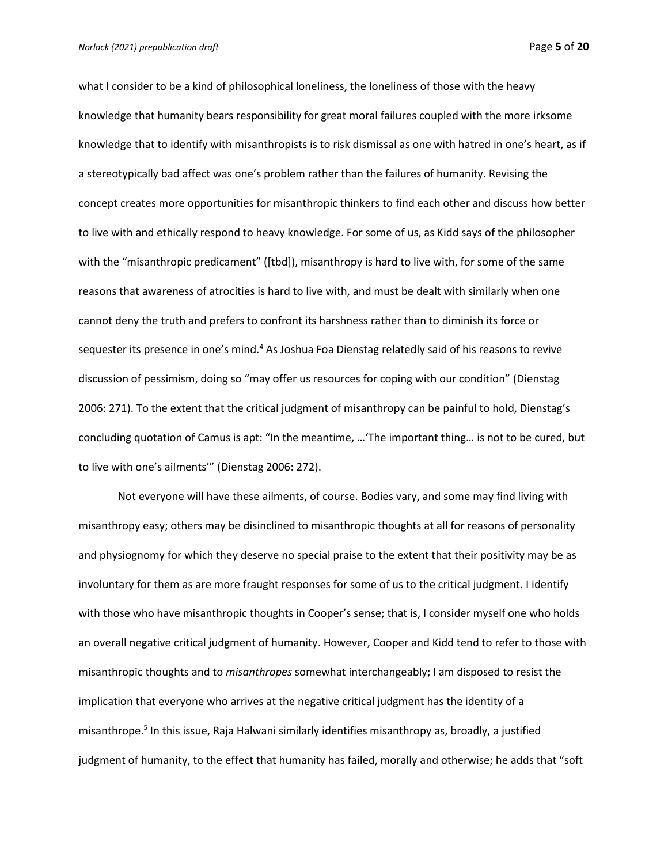what I consider to be a kind of philosophical loneliness, the loneliness of those with the heavy knowledge that humanity bears responsibility for great moral failures coupled with the more irksome knowledge that to identify with misanthropists is to risk dismissal as one with hatred in one's heart, as if a stereotypically bad affect was one's problem rather than the failures of humanity. Revising the concept creates more opportunities for misanthropic thinkers to find each other and discuss how better to live with and ethically respond to heavy knowledge. For some of us, as Kidd says of the philosopher with the "misanthropic predicament" ([tbd]), misanthropy is hard to live with, for some of the same reasons that awareness of atrocities is hard to live with, and must be dealt with similarly when one cannot deny the truth and prefers to confront its harshness rather than to diminish its force or sequester its presence in one's mind.<sup>4</sup> As Joshua Foa Dienstag relatedly said of his reasons to revive discussion of pessimism, doing so "may offer us resources for coping with our condition" (Dienstag 2006: 271). To the extent that the critical judgment of misanthropy can be painful to hold, Dienstag's concluding quotation of Camus is apt: "In the meantime, …'The important thing… is not to be cured, but to live with one's ailments'" (Dienstag 2006: 272).

Not everyone will have these ailments, of course. Bodies vary, and some may find living with misanthropy easy; others may be disinclined to misanthropic thoughts at all for reasons of personality and physiognomy for which they deserve no special praise to the extent that their positivity may be as involuntary for them as are more fraught responses for some of us to the critical judgment. I identify with those who have misanthropic thoughts in Cooper's sense; that is, I consider myself one who holds an overall negative critical judgment of humanity. However, Cooper and Kidd tend to refer to those with misanthropic thoughts and to *misanthropes* somewhat interchangeably; I am disposed to resist the implication that everyone who arrives at the negative critical judgment has the identity of a misanthrope.<sup>5</sup> In this issue, Raja Halwani similarly identifies misanthropy as, broadly, a justified judgment of humanity, to the effect that humanity has failed, morally and otherwise; he adds that "soft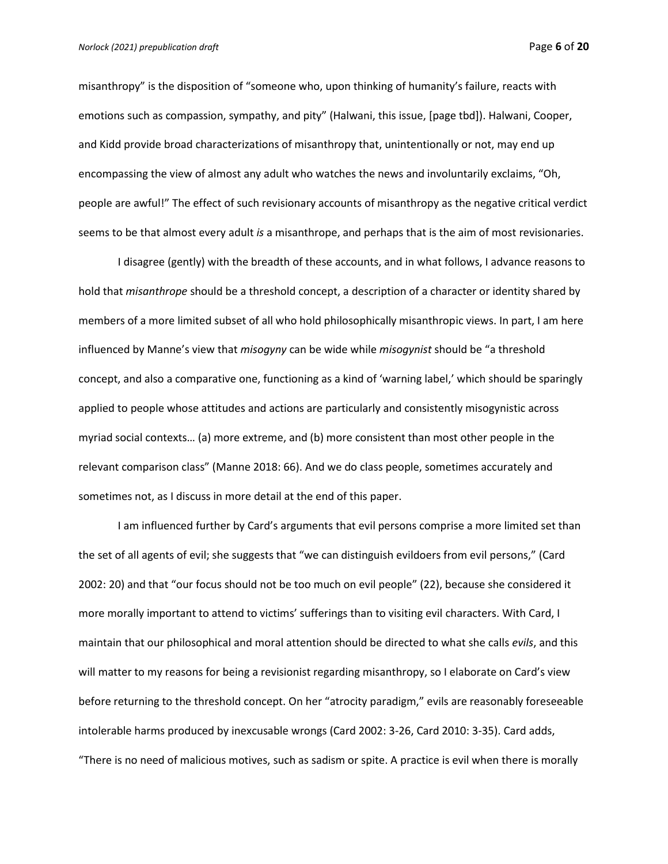misanthropy" is the disposition of "someone who, upon thinking of humanity's failure, reacts with emotions such as compassion, sympathy, and pity" (Halwani, this issue, [page tbd]). Halwani, Cooper, and Kidd provide broad characterizations of misanthropy that, unintentionally or not, may end up encompassing the view of almost any adult who watches the news and involuntarily exclaims, "Oh, people are awful!" The effect of such revisionary accounts of misanthropy as the negative critical verdict seems to be that almost every adult *is* a misanthrope, and perhaps that is the aim of most revisionaries.

I disagree (gently) with the breadth of these accounts, and in what follows, I advance reasons to hold that *misanthrope* should be a threshold concept, a description of a character or identity shared by members of a more limited subset of all who hold philosophically misanthropic views. In part, I am here influenced by Manne's view that *misogyny* can be wide while *misogynist* should be "a threshold concept, and also a comparative one, functioning as a kind of 'warning label,' which should be sparingly applied to people whose attitudes and actions are particularly and consistently misogynistic across myriad social contexts… (a) more extreme, and (b) more consistent than most other people in the relevant comparison class" (Manne 2018: 66). And we do class people, sometimes accurately and sometimes not, as I discuss in more detail at the end of this paper.

I am influenced further by Card's arguments that evil persons comprise a more limited set than the set of all agents of evil; she suggests that "we can distinguish evildoers from evil persons," (Card 2002: 20) and that "our focus should not be too much on evil people" (22), because she considered it more morally important to attend to victims' sufferings than to visiting evil characters. With Card, I maintain that our philosophical and moral attention should be directed to what she calls *evils*, and this will matter to my reasons for being a revisionist regarding misanthropy, so I elaborate on Card's view before returning to the threshold concept. On her "atrocity paradigm," evils are reasonably foreseeable intolerable harms produced by inexcusable wrongs (Card 2002: 3-26, Card 2010: 3-35). Card adds, "There is no need of malicious motives, such as sadism or spite. A practice is evil when there is morally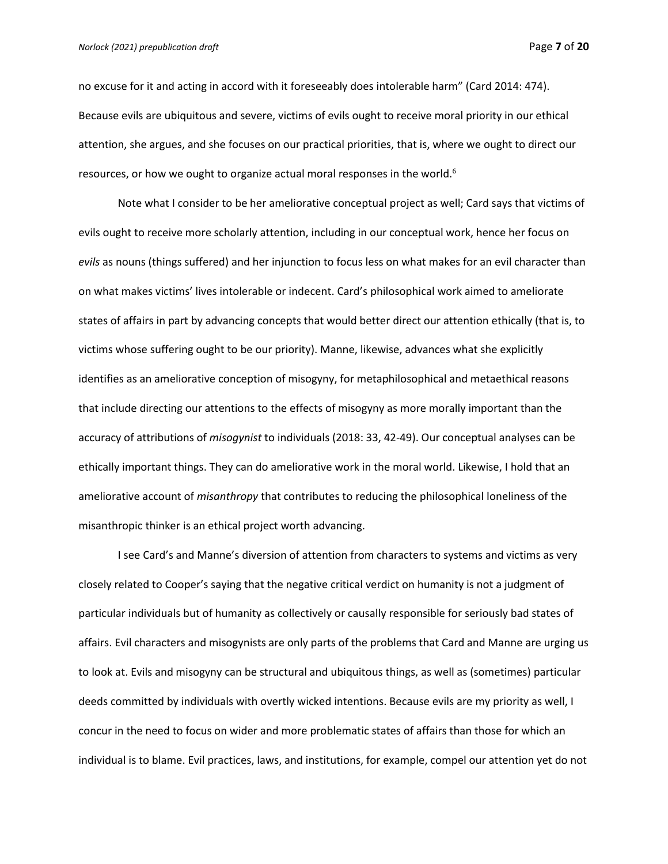no excuse for it and acting in accord with it foreseeably does intolerable harm" (Card 2014: 474). Because evils are ubiquitous and severe, victims of evils ought to receive moral priority in our ethical attention, she argues, and she focuses on our practical priorities, that is, where we ought to direct our resources, or how we ought to organize actual moral responses in the world.<sup>6</sup>

Note what I consider to be her ameliorative conceptual project as well; Card says that victims of evils ought to receive more scholarly attention, including in our conceptual work, hence her focus on *evils* as nouns (things suffered) and her injunction to focus less on what makes for an evil character than on what makes victims' lives intolerable or indecent. Card's philosophical work aimed to ameliorate states of affairs in part by advancing concepts that would better direct our attention ethically (that is, to victims whose suffering ought to be our priority). Manne, likewise, advances what she explicitly identifies as an ameliorative conception of misogyny, for metaphilosophical and metaethical reasons that include directing our attentions to the effects of misogyny as more morally important than the accuracy of attributions of *misogynist* to individuals (2018: 33, 42-49). Our conceptual analyses can be ethically important things. They can do ameliorative work in the moral world. Likewise, I hold that an ameliorative account of *misanthropy* that contributes to reducing the philosophical loneliness of the misanthropic thinker is an ethical project worth advancing.

I see Card's and Manne's diversion of attention from characters to systems and victims as very closely related to Cooper's saying that the negative critical verdict on humanity is not a judgment of particular individuals but of humanity as collectively or causally responsible for seriously bad states of affairs. Evil characters and misogynists are only parts of the problems that Card and Manne are urging us to look at. Evils and misogyny can be structural and ubiquitous things, as well as (sometimes) particular deeds committed by individuals with overtly wicked intentions. Because evils are my priority as well, I concur in the need to focus on wider and more problematic states of affairs than those for which an individual is to blame. Evil practices, laws, and institutions, for example, compel our attention yet do not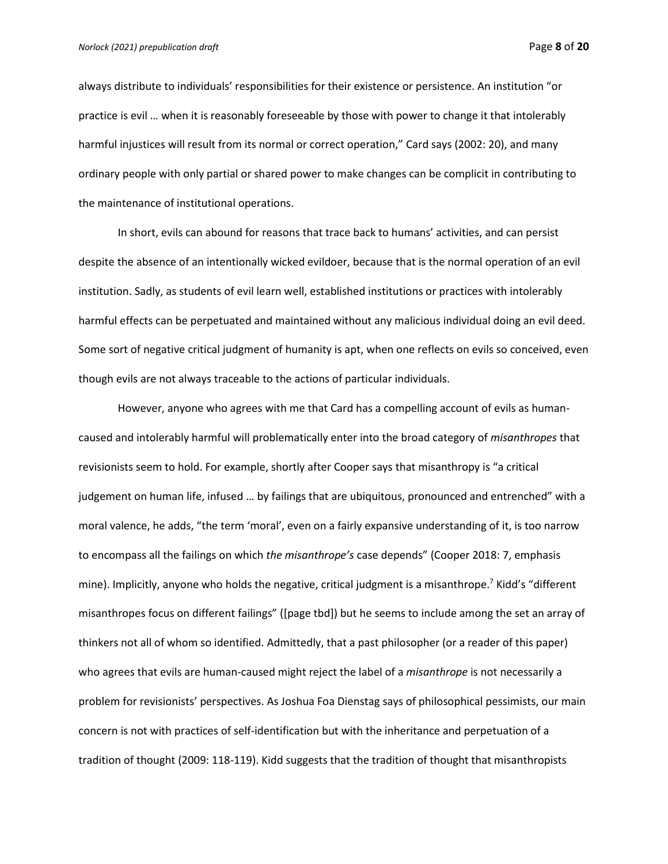always distribute to individuals' responsibilities for their existence or persistence. An institution "or practice is evil … when it is reasonably foreseeable by those with power to change it that intolerably harmful injustices will result from its normal or correct operation," Card says (2002: 20), and many ordinary people with only partial or shared power to make changes can be complicit in contributing to the maintenance of institutional operations.

In short, evils can abound for reasons that trace back to humans' activities, and can persist despite the absence of an intentionally wicked evildoer, because that is the normal operation of an evil institution. Sadly, as students of evil learn well, established institutions or practices with intolerably harmful effects can be perpetuated and maintained without any malicious individual doing an evil deed. Some sort of negative critical judgment of humanity is apt, when one reflects on evils so conceived, even though evils are not always traceable to the actions of particular individuals.

However, anyone who agrees with me that Card has a compelling account of evils as humancaused and intolerably harmful will problematically enter into the broad category of *misanthropes* that revisionists seem to hold. For example, shortly after Cooper says that misanthropy is "a critical judgement on human life, infused … by failings that are ubiquitous, pronounced and entrenched" with a moral valence, he adds, "the term 'moral', even on a fairly expansive understanding of it, is too narrow to encompass all the failings on which *the misanthrope's* case depends" (Cooper 2018: 7, emphasis mine). Implicitly, anyone who holds the negative, critical judgment is a misanthrope.<sup>7</sup> Kidd's "different misanthropes focus on different failings" ([page tbd]) but he seems to include among the set an array of thinkers not all of whom so identified. Admittedly, that a past philosopher (or a reader of this paper) who agrees that evils are human-caused might reject the label of a *misanthrope* is not necessarily a problem for revisionists' perspectives. As Joshua Foa Dienstag says of philosophical pessimists, our main concern is not with practices of self-identification but with the inheritance and perpetuation of a tradition of thought (2009: 118-119). Kidd suggests that the tradition of thought that misanthropists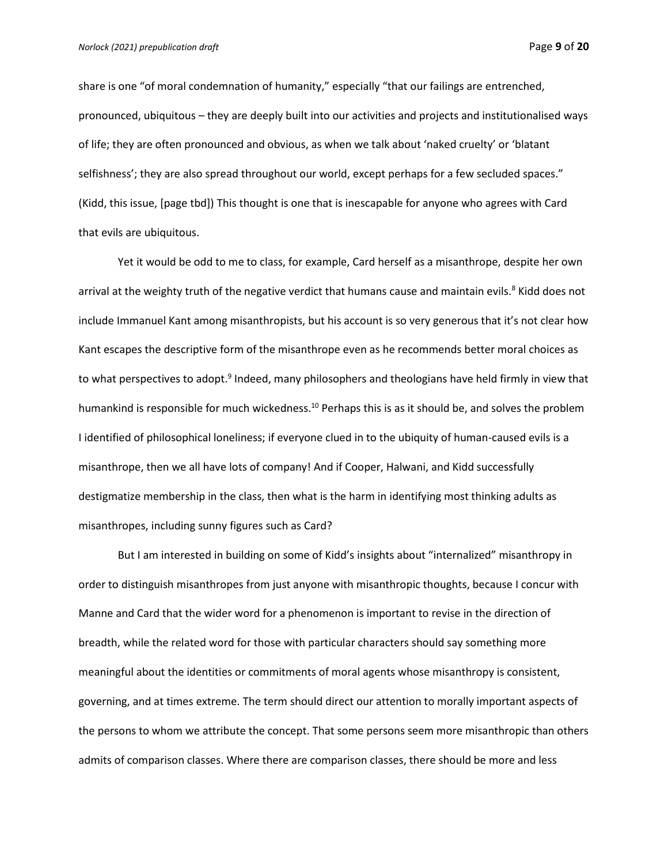share is one "of moral condemnation of humanity," especially "that our failings are entrenched, pronounced, ubiquitous – they are deeply built into our activities and projects and institutionalised ways of life; they are often pronounced and obvious, as when we talk about 'naked cruelty' or 'blatant selfishness'; they are also spread throughout our world, except perhaps for a few secluded spaces." (Kidd, this issue, [page tbd]) This thought is one that is inescapable for anyone who agrees with Card that evils are ubiquitous.

Yet it would be odd to me to class, for example, Card herself as a misanthrope, despite her own arrival at the weighty truth of the negative verdict that humans cause and maintain evils.<sup>8</sup> Kidd does not include Immanuel Kant among misanthropists, but his account is so very generous that it's not clear how Kant escapes the descriptive form of the misanthrope even as he recommends better moral choices as to what perspectives to adopt.<sup>9</sup> Indeed, many philosophers and theologians have held firmly in view that humankind is responsible for much wickedness.<sup>10</sup> Perhaps this is as it should be, and solves the problem I identified of philosophical loneliness; if everyone clued in to the ubiquity of human-caused evils is a misanthrope, then we all have lots of company! And if Cooper, Halwani, and Kidd successfully destigmatize membership in the class, then what is the harm in identifying most thinking adults as misanthropes, including sunny figures such as Card?

But I am interested in building on some of Kidd's insights about "internalized" misanthropy in order to distinguish misanthropes from just anyone with misanthropic thoughts, because I concur with Manne and Card that the wider word for a phenomenon is important to revise in the direction of breadth, while the related word for those with particular characters should say something more meaningful about the identities or commitments of moral agents whose misanthropy is consistent, governing, and at times extreme. The term should direct our attention to morally important aspects of the persons to whom we attribute the concept. That some persons seem more misanthropic than others admits of comparison classes. Where there are comparison classes, there should be more and less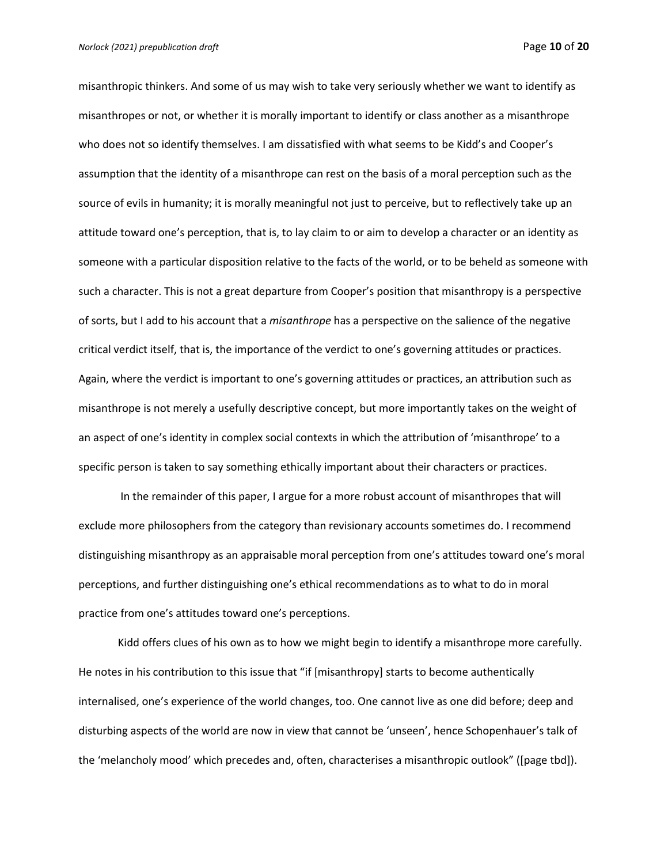misanthropic thinkers. And some of us may wish to take very seriously whether we want to identify as misanthropes or not, or whether it is morally important to identify or class another as a misanthrope who does not so identify themselves. I am dissatisfied with what seems to be Kidd's and Cooper's assumption that the identity of a misanthrope can rest on the basis of a moral perception such as the source of evils in humanity; it is morally meaningful not just to perceive, but to reflectively take up an attitude toward one's perception, that is, to lay claim to or aim to develop a character or an identity as someone with a particular disposition relative to the facts of the world, or to be beheld as someone with such a character. This is not a great departure from Cooper's position that misanthropy is a perspective of sorts, but I add to his account that a *misanthrope* has a perspective on the salience of the negative critical verdict itself, that is, the importance of the verdict to one's governing attitudes or practices. Again, where the verdict is important to one's governing attitudes or practices, an attribution such as misanthrope is not merely a usefully descriptive concept, but more importantly takes on the weight of an aspect of one's identity in complex social contexts in which the attribution of 'misanthrope' to a specific person is taken to say something ethically important about their characters or practices.

In the remainder of this paper, I argue for a more robust account of misanthropes that will exclude more philosophers from the category than revisionary accounts sometimes do. I recommend distinguishing misanthropy as an appraisable moral perception from one's attitudes toward one's moral perceptions, and further distinguishing one's ethical recommendations as to what to do in moral practice from one's attitudes toward one's perceptions.

Kidd offers clues of his own as to how we might begin to identify a misanthrope more carefully. He notes in his contribution to this issue that "if [misanthropy] starts to become authentically internalised, one's experience of the world changes, too. One cannot live as one did before; deep and disturbing aspects of the world are now in view that cannot be 'unseen', hence Schopenhauer's talk of the 'melancholy mood' which precedes and, often, characterises a misanthropic outlook" ([page tbd]).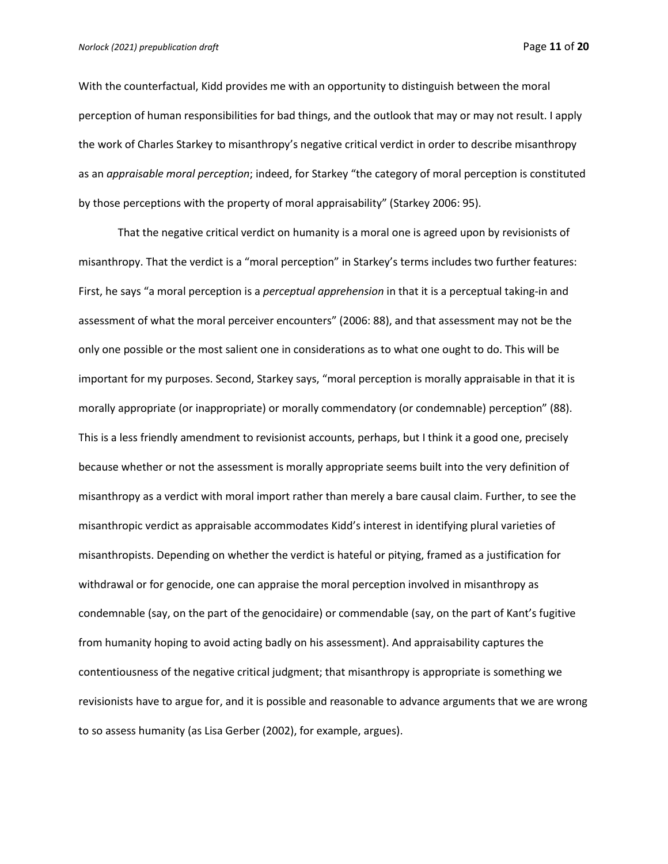With the counterfactual, Kidd provides me with an opportunity to distinguish between the moral perception of human responsibilities for bad things, and the outlook that may or may not result. I apply the work of Charles Starkey to misanthropy's negative critical verdict in order to describe misanthropy as an *appraisable moral perception*; indeed, for Starkey "the category of moral perception is constituted by those perceptions with the property of moral appraisability" (Starkey 2006: 95).

That the negative critical verdict on humanity is a moral one is agreed upon by revisionists of misanthropy. That the verdict is a "moral perception" in Starkey's terms includes two further features: First, he says "a moral perception is a *perceptual apprehension* in that it is a perceptual taking-in and assessment of what the moral perceiver encounters" (2006: 88), and that assessment may not be the only one possible or the most salient one in considerations as to what one ought to do. This will be important for my purposes. Second, Starkey says, "moral perception is morally appraisable in that it is morally appropriate (or inappropriate) or morally commendatory (or condemnable) perception" (88). This is a less friendly amendment to revisionist accounts, perhaps, but I think it a good one, precisely because whether or not the assessment is morally appropriate seems built into the very definition of misanthropy as a verdict with moral import rather than merely a bare causal claim. Further, to see the misanthropic verdict as appraisable accommodates Kidd's interest in identifying plural varieties of misanthropists. Depending on whether the verdict is hateful or pitying, framed as a justification for withdrawal or for genocide, one can appraise the moral perception involved in misanthropy as condemnable (say, on the part of the genocidaire) or commendable (say, on the part of Kant's fugitive from humanity hoping to avoid acting badly on his assessment). And appraisability captures the contentiousness of the negative critical judgment; that misanthropy is appropriate is something we revisionists have to argue for, and it is possible and reasonable to advance arguments that we are wrong to so assess humanity (as Lisa Gerber (2002), for example, argues).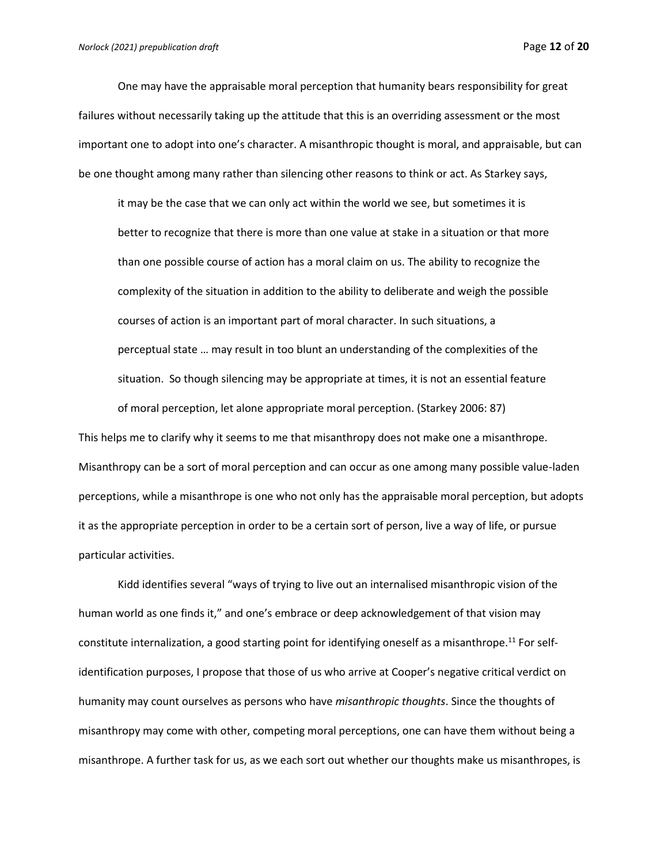One may have the appraisable moral perception that humanity bears responsibility for great failures without necessarily taking up the attitude that this is an overriding assessment or the most important one to adopt into one's character. A misanthropic thought is moral, and appraisable, but can be one thought among many rather than silencing other reasons to think or act. As Starkey says,

it may be the case that we can only act within the world we see, but sometimes it is better to recognize that there is more than one value at stake in a situation or that more than one possible course of action has a moral claim on us. The ability to recognize the complexity of the situation in addition to the ability to deliberate and weigh the possible courses of action is an important part of moral character. In such situations, a perceptual state … may result in too blunt an understanding of the complexities of the situation. So though silencing may be appropriate at times, it is not an essential feature of moral perception, let alone appropriate moral perception. (Starkey 2006: 87)

This helps me to clarify why it seems to me that misanthropy does not make one a misanthrope. Misanthropy can be a sort of moral perception and can occur as one among many possible value-laden perceptions, while a misanthrope is one who not only has the appraisable moral perception, but adopts it as the appropriate perception in order to be a certain sort of person, live a way of life, or pursue particular activities.

Kidd identifies several "ways of trying to live out an internalised misanthropic vision of the human world as one finds it," and one's embrace or deep acknowledgement of that vision may constitute internalization, a good starting point for identifying oneself as a misanthrope.<sup>11</sup> For selfidentification purposes, I propose that those of us who arrive at Cooper's negative critical verdict on humanity may count ourselves as persons who have *misanthropic thoughts*. Since the thoughts of misanthropy may come with other, competing moral perceptions, one can have them without being a misanthrope. A further task for us, as we each sort out whether our thoughts make us misanthropes, is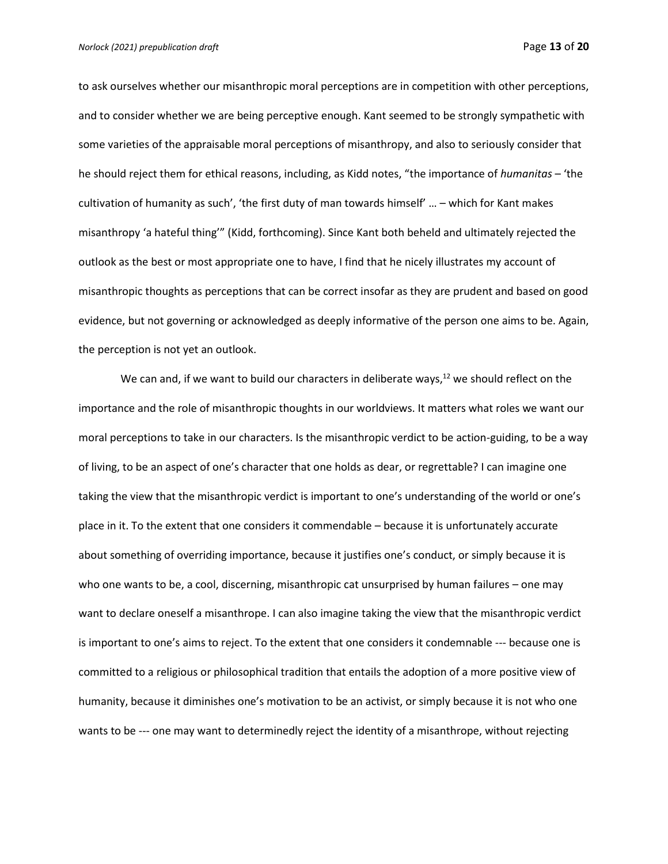to ask ourselves whether our misanthropic moral perceptions are in competition with other perceptions, and to consider whether we are being perceptive enough. Kant seemed to be strongly sympathetic with some varieties of the appraisable moral perceptions of misanthropy, and also to seriously consider that he should reject them for ethical reasons, including, as Kidd notes, "the importance of *humanitas* – 'the cultivation of humanity as such', 'the first duty of man towards himself' … – which for Kant makes misanthropy 'a hateful thing'" (Kidd, forthcoming). Since Kant both beheld and ultimately rejected the outlook as the best or most appropriate one to have, I find that he nicely illustrates my account of misanthropic thoughts as perceptions that can be correct insofar as they are prudent and based on good evidence, but not governing or acknowledged as deeply informative of the person one aims to be. Again, the perception is not yet an outlook.

We can and, if we want to build our characters in deliberate ways, $12$  we should reflect on the importance and the role of misanthropic thoughts in our worldviews. It matters what roles we want our moral perceptions to take in our characters. Is the misanthropic verdict to be action-guiding, to be a way of living, to be an aspect of one's character that one holds as dear, or regrettable? I can imagine one taking the view that the misanthropic verdict is important to one's understanding of the world or one's place in it. To the extent that one considers it commendable – because it is unfortunately accurate about something of overriding importance, because it justifies one's conduct, or simply because it is who one wants to be, a cool, discerning, misanthropic cat unsurprised by human failures – one may want to declare oneself a misanthrope. I can also imagine taking the view that the misanthropic verdict is important to one's aims to reject. To the extent that one considers it condemnable --- because one is committed to a religious or philosophical tradition that entails the adoption of a more positive view of humanity, because it diminishes one's motivation to be an activist, or simply because it is not who one wants to be --- one may want to determinedly reject the identity of a misanthrope, without rejecting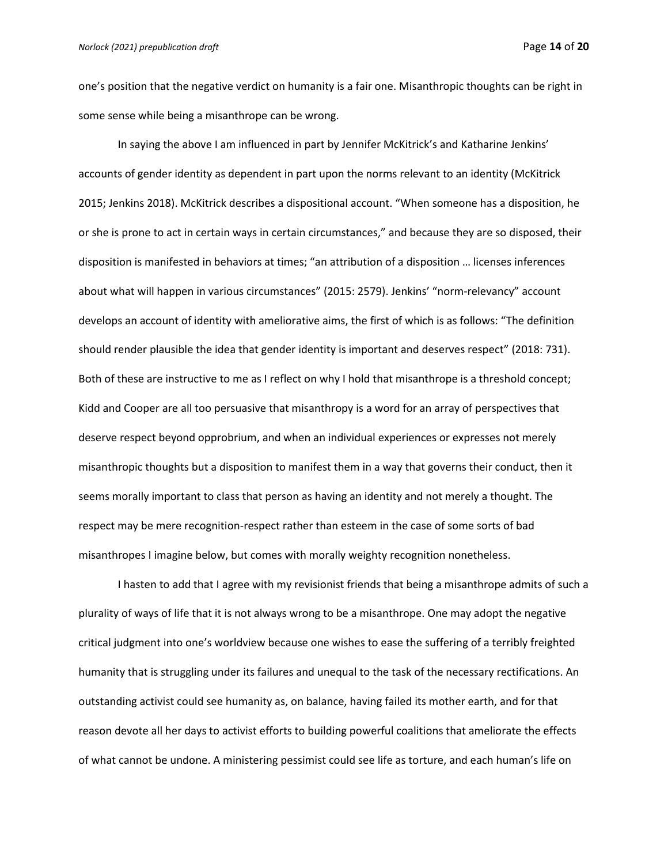one's position that the negative verdict on humanity is a fair one. Misanthropic thoughts can be right in some sense while being a misanthrope can be wrong.

In saying the above I am influenced in part by Jennifer McKitrick's and Katharine Jenkins' accounts of gender identity as dependent in part upon the norms relevant to an identity (McKitrick 2015; Jenkins 2018). McKitrick describes a dispositional account. "When someone has a disposition, he or she is prone to act in certain ways in certain circumstances," and because they are so disposed, their disposition is manifested in behaviors at times; "an attribution of a disposition … licenses inferences about what will happen in various circumstances" (2015: 2579). Jenkins' "norm-relevancy" account develops an account of identity with ameliorative aims, the first of which is as follows: "The definition should render plausible the idea that gender identity is important and deserves respect" (2018: 731). Both of these are instructive to me as I reflect on why I hold that misanthrope is a threshold concept; Kidd and Cooper are all too persuasive that misanthropy is a word for an array of perspectives that deserve respect beyond opprobrium, and when an individual experiences or expresses not merely misanthropic thoughts but a disposition to manifest them in a way that governs their conduct, then it seems morally important to class that person as having an identity and not merely a thought. The respect may be mere recognition-respect rather than esteem in the case of some sorts of bad misanthropes I imagine below, but comes with morally weighty recognition nonetheless.

I hasten to add that I agree with my revisionist friends that being a misanthrope admits of such a plurality of ways of life that it is not always wrong to be a misanthrope. One may adopt the negative critical judgment into one's worldview because one wishes to ease the suffering of a terribly freighted humanity that is struggling under its failures and unequal to the task of the necessary rectifications. An outstanding activist could see humanity as, on balance, having failed its mother earth, and for that reason devote all her days to activist efforts to building powerful coalitions that ameliorate the effects of what cannot be undone. A ministering pessimist could see life as torture, and each human's life on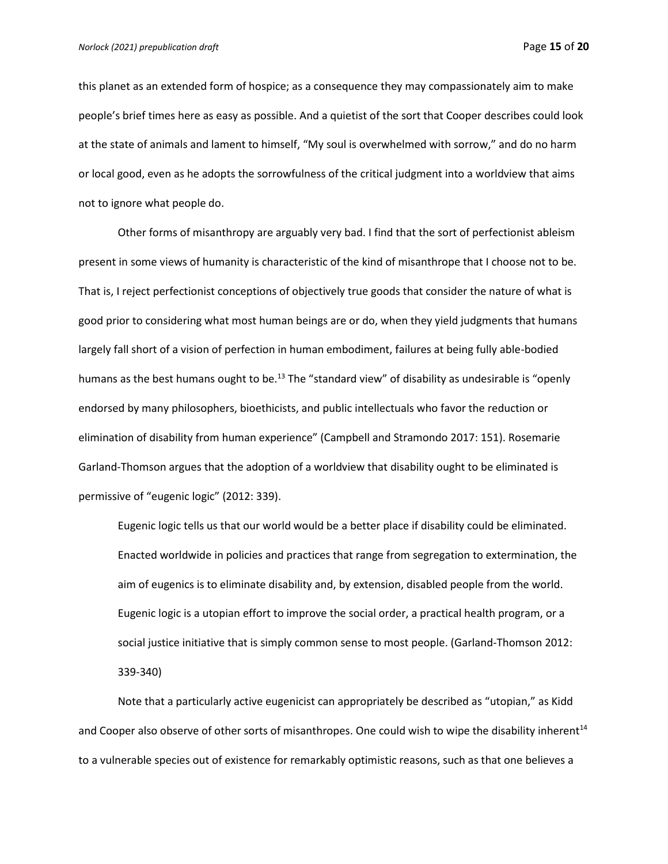this planet as an extended form of hospice; as a consequence they may compassionately aim to make people's brief times here as easy as possible. And a quietist of the sort that Cooper describes could look at the state of animals and lament to himself, "My soul is overwhelmed with sorrow," and do no harm or local good, even as he adopts the sorrowfulness of the critical judgment into a worldview that aims not to ignore what people do.

Other forms of misanthropy are arguably very bad. I find that the sort of perfectionist ableism present in some views of humanity is characteristic of the kind of misanthrope that I choose not to be. That is, I reject perfectionist conceptions of objectively true goods that consider the nature of what is good prior to considering what most human beings are or do, when they yield judgments that humans largely fall short of a vision of perfection in human embodiment, failures at being fully able-bodied humans as the best humans ought to be.<sup>13</sup> The "standard view" of disability as undesirable is "openly endorsed by many philosophers, bioethicists, and public intellectuals who favor the reduction or elimination of disability from human experience" (Campbell and Stramondo 2017: 151). Rosemarie Garland-Thomson argues that the adoption of a worldview that disability ought to be eliminated is permissive of "eugenic logic" (2012: 339).

Eugenic logic tells us that our world would be a better place if disability could be eliminated. Enacted worldwide in policies and practices that range from segregation to extermination, the aim of eugenics is to eliminate disability and, by extension, disabled people from the world. Eugenic logic is a utopian effort to improve the social order, a practical health program, or a social justice initiative that is simply common sense to most people. (Garland-Thomson 2012: 339-340)

Note that a particularly active eugenicist can appropriately be described as "utopian," as Kidd and Cooper also observe of other sorts of misanthropes. One could wish to wipe the disability inherent<sup>14</sup> to a vulnerable species out of existence for remarkably optimistic reasons, such as that one believes a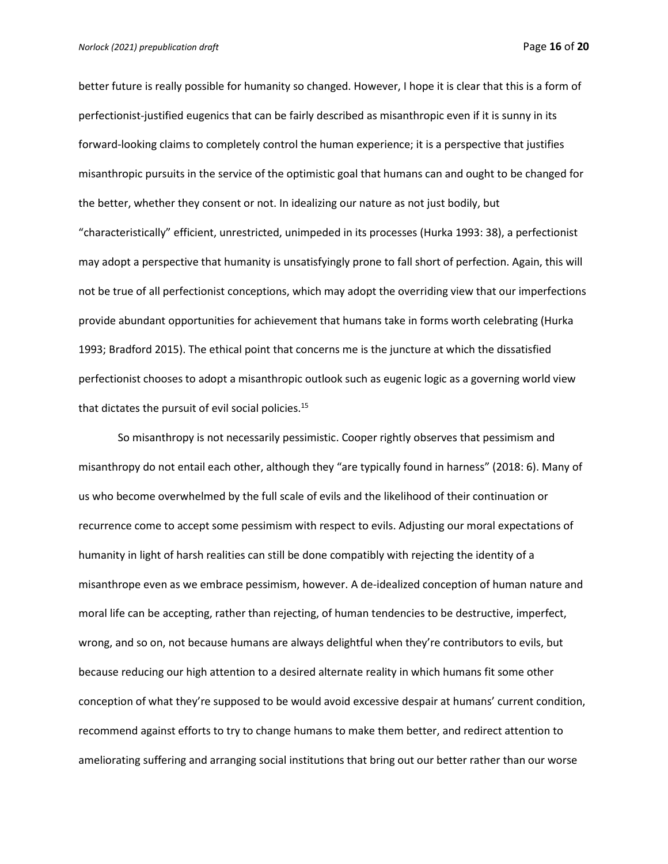better future is really possible for humanity so changed. However, I hope it is clear that this is a form of perfectionist-justified eugenics that can be fairly described as misanthropic even if it is sunny in its forward-looking claims to completely control the human experience; it is a perspective that justifies misanthropic pursuits in the service of the optimistic goal that humans can and ought to be changed for the better, whether they consent or not. In idealizing our nature as not just bodily, but "characteristically" efficient, unrestricted, unimpeded in its processes (Hurka 1993: 38), a perfectionist may adopt a perspective that humanity is unsatisfyingly prone to fall short of perfection. Again, this will not be true of all perfectionist conceptions, which may adopt the overriding view that our imperfections provide abundant opportunities for achievement that humans take in forms worth celebrating (Hurka 1993; Bradford 2015). The ethical point that concerns me is the juncture at which the dissatisfied perfectionist chooses to adopt a misanthropic outlook such as eugenic logic as a governing world view that dictates the pursuit of evil social policies.<sup>15</sup>

So misanthropy is not necessarily pessimistic. Cooper rightly observes that pessimism and misanthropy do not entail each other, although they "are typically found in harness" (2018: 6). Many of us who become overwhelmed by the full scale of evils and the likelihood of their continuation or recurrence come to accept some pessimism with respect to evils. Adjusting our moral expectations of humanity in light of harsh realities can still be done compatibly with rejecting the identity of a misanthrope even as we embrace pessimism, however. A de-idealized conception of human nature and moral life can be accepting, rather than rejecting, of human tendencies to be destructive, imperfect, wrong, and so on, not because humans are always delightful when they're contributors to evils, but because reducing our high attention to a desired alternate reality in which humans fit some other conception of what they're supposed to be would avoid excessive despair at humans' current condition, recommend against efforts to try to change humans to make them better, and redirect attention to ameliorating suffering and arranging social institutions that bring out our better rather than our worse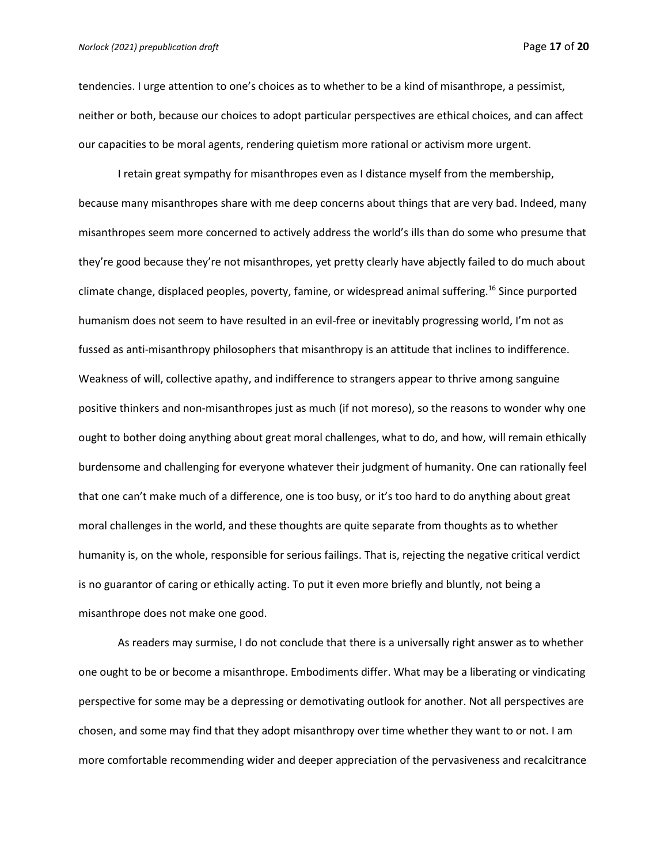tendencies. I urge attention to one's choices as to whether to be a kind of misanthrope, a pessimist, neither or both, because our choices to adopt particular perspectives are ethical choices, and can affect our capacities to be moral agents, rendering quietism more rational or activism more urgent.

I retain great sympathy for misanthropes even as I distance myself from the membership, because many misanthropes share with me deep concerns about things that are very bad. Indeed, many misanthropes seem more concerned to actively address the world's ills than do some who presume that they're good because they're not misanthropes, yet pretty clearly have abjectly failed to do much about climate change, displaced peoples, poverty, famine, or widespread animal suffering. <sup>16</sup> Since purported humanism does not seem to have resulted in an evil-free or inevitably progressing world, I'm not as fussed as anti-misanthropy philosophers that misanthropy is an attitude that inclines to indifference. Weakness of will, collective apathy, and indifference to strangers appear to thrive among sanguine positive thinkers and non-misanthropes just as much (if not moreso), so the reasons to wonder why one ought to bother doing anything about great moral challenges, what to do, and how, will remain ethically burdensome and challenging for everyone whatever their judgment of humanity. One can rationally feel that one can't make much of a difference, one is too busy, or it's too hard to do anything about great moral challenges in the world, and these thoughts are quite separate from thoughts as to whether humanity is, on the whole, responsible for serious failings. That is, rejecting the negative critical verdict is no guarantor of caring or ethically acting. To put it even more briefly and bluntly, not being a misanthrope does not make one good.

As readers may surmise, I do not conclude that there is a universally right answer as to whether one ought to be or become a misanthrope. Embodiments differ. What may be a liberating or vindicating perspective for some may be a depressing or demotivating outlook for another. Not all perspectives are chosen, and some may find that they adopt misanthropy over time whether they want to or not. I am more comfortable recommending wider and deeper appreciation of the pervasiveness and recalcitrance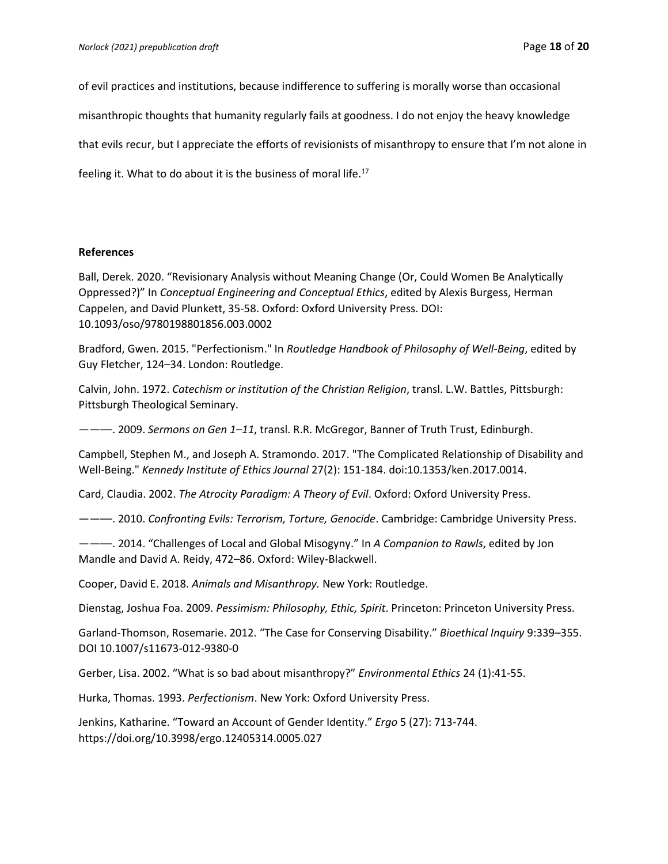of evil practices and institutions, because indifference to suffering is morally worse than occasional

misanthropic thoughts that humanity regularly fails at goodness. I do not enjoy the heavy knowledge

that evils recur, but I appreciate the efforts of revisionists of misanthropy to ensure that I'm not alone in

feeling it. What to do about it is the business of moral life.<sup>17</sup>

## **References**

Ball, Derek. 2020. "Revisionary Analysis without Meaning Change (Or, Could Women Be Analytically Oppressed?)" In *Conceptual Engineering and Conceptual Ethics*, edited by Alexis Burgess, Herman Cappelen, and David Plunkett, 35-58. Oxford: Oxford University Press. DOI: 10.1093/oso/9780198801856.003.0002

Bradford, Gwen. 2015. "Perfectionism." In *Routledge Handbook of Philosophy of Well-Being*, edited by Guy Fletcher, 124–34. London: Routledge.

Calvin, John. 1972. *Catechism or institution of the Christian Religion*, transl. L.W. Battles, Pittsburgh: Pittsburgh Theological Seminary.

——––. 2009. *Sermons on Gen 1–11*, transl. R.R. McGregor, Banner of Truth Trust, Edinburgh.

Campbell, Stephen M., and Joseph A. Stramondo. 2017. "The Complicated Relationship of Disability and Well-Being." *Kennedy Institute of Ethics Journal* 27(2): 151-184. doi:10.1353/ken.2017.0014.

Card, Claudia. 2002. *The Atrocity Paradigm: A Theory of Evil*. Oxford: Oxford University Press.

——––. 2010. *Confronting Evils: Terrorism, Torture, Genocide*. Cambridge: Cambridge University Press.

——––. 2014. "Challenges of Local and Global Misogyny." In *A Companion to Rawls*, edited by Jon Mandle and David A. Reidy, 472–86. Oxford: Wiley-Blackwell.

Cooper, David E. 2018. *Animals and Misanthropy.* New York: Routledge.

Dienstag, Joshua Foa. 2009. *Pessimism: Philosophy, Ethic, Spirit*. Princeton: Princeton University Press.

Garland-Thomson, Rosemarie. 2012. "The Case for Conserving Disability." *Bioethical Inquiry* 9:339–355. DOI 10.1007/s11673-012-9380-0

Gerber, Lisa. 2002. "What is so bad about misanthropy?" *Environmental Ethics* 24 (1):41-55.

Hurka, Thomas. 1993. *Perfectionism*. New York: Oxford University Press.

Jenkins, Katharine. "Toward an Account of Gender Identity." *Ergo* 5 (27): 713-744. https://doi.org/10.3998/ergo.12405314.0005.027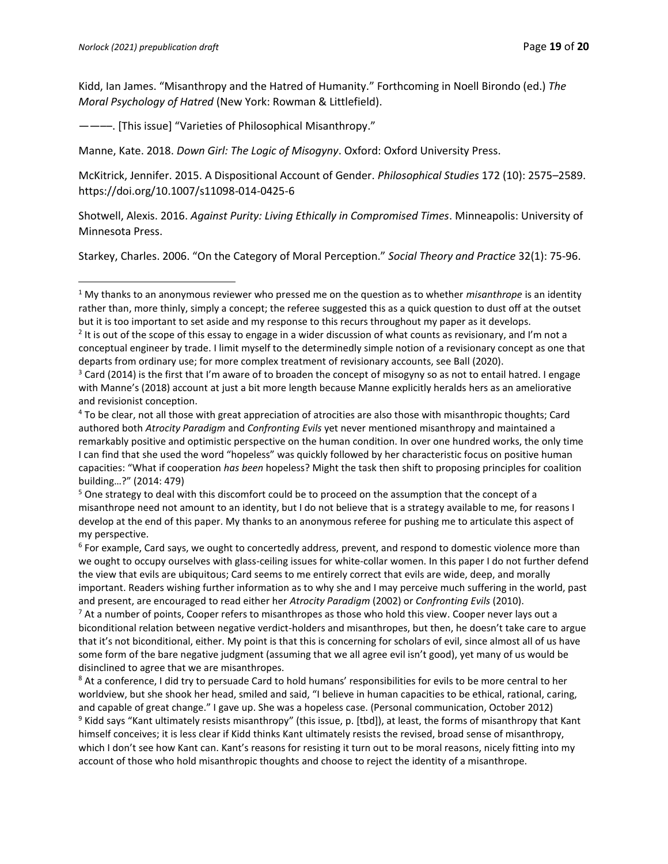$\overline{a}$ 

Kidd, Ian James. "Misanthropy and the Hatred of Humanity." Forthcoming in Noell Birondo (ed.) *The Moral Psychology of Hatred* (New York: Rowman & Littlefield).

——––. [This issue] "Varieties of Philosophical Misanthropy."

Manne, Kate. 2018. *Down Girl: The Logic of Misogyny*. Oxford: Oxford University Press.

McKitrick, Jennifer. 2015. A Dispositional Account of Gender. *Philosophical Studies* 172 (10): 2575–2589. https://doi.org/10.1007/s11098-014-0425-6

Shotwell, Alexis. 2016. *Against Purity: Living Ethically in Compromised Times*. Minneapolis: University of Minnesota Press.

Starkey, Charles. 2006. "On the Category of Moral Perception." *Social Theory and Practice* 32(1): 75-96.

<sup>5</sup> One strategy to deal with this discomfort could be to proceed on the assumption that the concept of a misanthrope need not amount to an identity, but I do not believe that is a strategy available to me, for reasons I develop at the end of this paper. My thanks to an anonymous referee for pushing me to articulate this aspect of my perspective.

<sup>6</sup> For example, Card says, we ought to concertedly address, prevent, and respond to domestic violence more than we ought to occupy ourselves with glass-ceiling issues for white-collar women. In this paper I do not further defend the view that evils are ubiquitous; Card seems to me entirely correct that evils are wide, deep, and morally important. Readers wishing further information as to why she and I may perceive much suffering in the world, past and present, are encouraged to read either her *Atrocity Paradigm* (2002) or *Confronting Evils* (2010).

 $7$  At a number of points, Cooper refers to misanthropes as those who hold this view. Cooper never lays out a biconditional relation between negative verdict-holders and misanthropes, but then, he doesn't take care to argue that it's not biconditional, either. My point is that this is concerning for scholars of evil, since almost all of us have some form of the bare negative judgment (assuming that we all agree evil isn't good), yet many of us would be disinclined to agree that we are misanthropes.

<sup>8</sup> At a conference, I did try to persuade Card to hold humans' responsibilities for evils to be more central to her worldview, but she shook her head, smiled and said, "I believe in human capacities to be ethical, rational, caring, and capable of great change." I gave up. She was a hopeless case. (Personal communication, October 2012) <sup>9</sup> Kidd says "Kant ultimately resists misanthropy" (this issue, p. [tbd]), at least, the forms of misanthropy that Kant himself conceives; it is less clear if Kidd thinks Kant ultimately resists the revised, broad sense of misanthropy, which I don't see how Kant can. Kant's reasons for resisting it turn out to be moral reasons, nicely fitting into my account of those who hold misanthropic thoughts and choose to reject the identity of a misanthrope.

<sup>1</sup> My thanks to an anonymous reviewer who pressed me on the question as to whether *misanthrope* is an identity rather than, more thinly, simply a concept; the referee suggested this as a quick question to dust off at the outset but it is too important to set aside and my response to this recurs throughout my paper as it develops.

 $2$  It is out of the scope of this essay to engage in a wider discussion of what counts as revisionary, and I'm not a conceptual engineer by trade. I limit myself to the determinedly simple notion of a revisionary concept as one that departs from ordinary use; for more complex treatment of revisionary accounts, see Ball (2020).

 $3$  Card (2014) is the first that I'm aware of to broaden the concept of misogyny so as not to entail hatred. I engage with Manne's (2018) account at just a bit more length because Manne explicitly heralds hers as an ameliorative and revisionist conception.

<sup>4</sup> To be clear, not all those with great appreciation of atrocities are also those with misanthropic thoughts; Card authored both *Atrocity Paradigm* and *Confronting Evils* yet never mentioned misanthropy and maintained a remarkably positive and optimistic perspective on the human condition. In over one hundred works, the only time I can find that she used the word "hopeless" was quickly followed by her characteristic focus on positive human capacities: "What if cooperation *has been* hopeless? Might the task then shift to proposing principles for coalition building…?" (2014: 479)